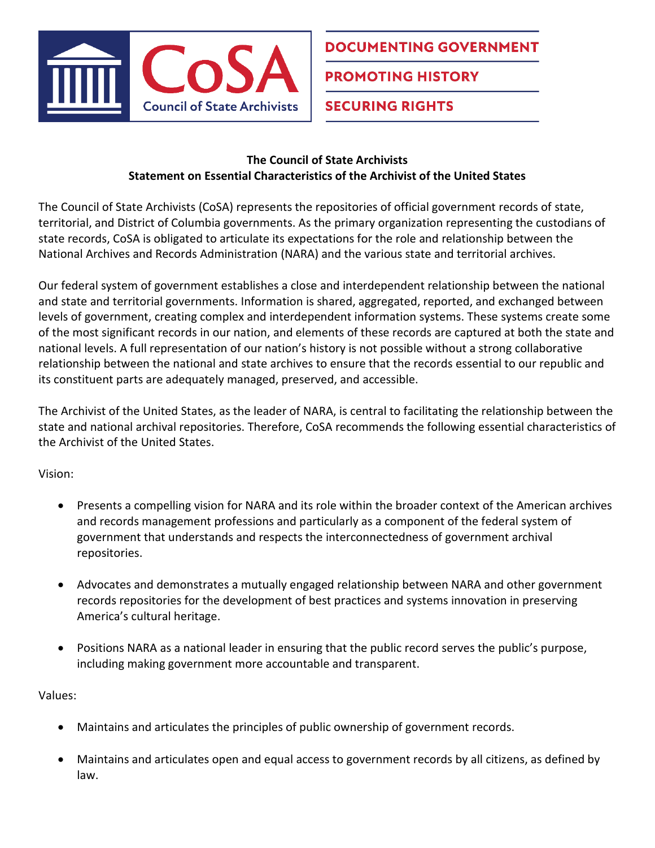

## **DOCUMENTING GOVERNMENT**

**PROMOTING HISTORY** 

**SECURING RIGHTS** 

## **The Council of State Archivists Statement on Essential Characteristics of the Archivist of the United States**

The Council of State Archivists (CoSA) represents the repositories of official government records of state, territorial, and District of Columbia governments. As the primary organization representing the custodians of state records, CoSA is obligated to articulate its expectations for the role and relationship between the National Archives and Records Administration (NARA) and the various state and territorial archives.

Our federal system of government establishes a close and interdependent relationship between the national and state and territorial governments. Information is shared, aggregated, reported, and exchanged between levels of government, creating complex and interdependent information systems. These systems create some of the most significant records in our nation, and elements of these records are captured at both the state and national levels. A full representation of our nation's history is not possible without a strong collaborative relationship between the national and state archives to ensure that the records essential to our republic and its constituent parts are adequately managed, preserved, and accessible.

The Archivist of the United States, as the leader of NARA, is central to facilitating the relationship between the state and national archival repositories. Therefore, CoSA recommends the following essential characteristics of the Archivist of the United States.

Vision:

- Presents a compelling vision for NARA and its role within the broader context of the American archives and records management professions and particularly as a component of the federal system of government that understands and respects the interconnectedness of government archival repositories.
- Advocates and demonstrates a mutually engaged relationship between NARA and other government records repositories for the development of best practices and systems innovation in preserving America's cultural heritage.
- Positions NARA as a national leader in ensuring that the public record serves the public's purpose, including making government more accountable and transparent.

Values:

- Maintains and articulates the principles of public ownership of government records.
- Maintains and articulates open and equal access to government records by all citizens, as defined by law.